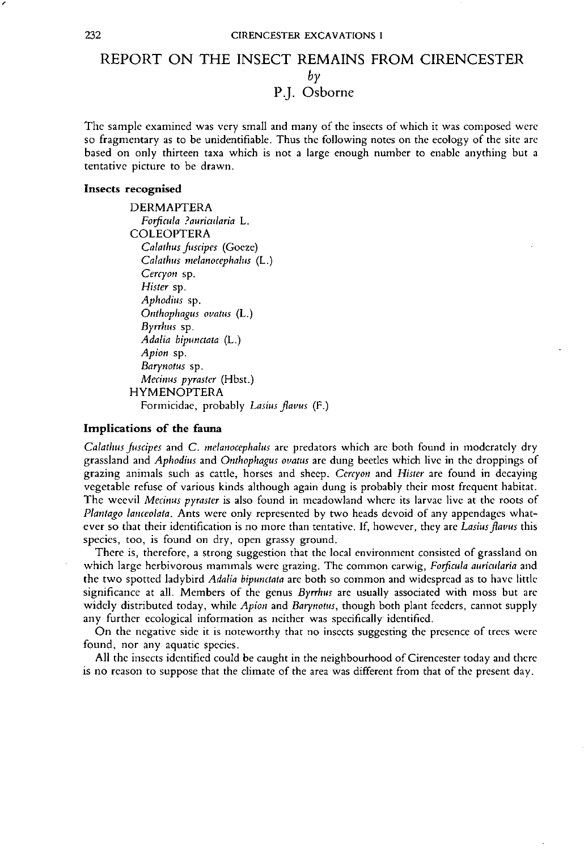## REPORT ON THE INSECT REMAINS FROM CIRENCESTER *by* P.]. Osborne

The sample examined was very small and many of the insects of which *it* was composed were so fragmentary as *to* be unidentifiable. Thus the following *notes* on *the* ecology of *the* site are based on only thirteen taxa which is *not* a large enough number *to* enable anything *but* a tentative picture *to* be drawn.

#### Insects recognised

DERMAPTERA *Forficula ?auricularia* L. COLEOPTERA *Calathus[uscipes* (Goeze) *Calathus melanocephalus* (L.) *Cercyon* sp. *Hister* sp. *Aphodius* sp. *Onthophagus ovatus* (L.) *Byrrhus* sp.  $A$ dalia bipunctata (L.) *Apion* sp. *Barynotus* sp. *Metinus pyraster* (Hbsr.) HYMENOPTERA Formicidae, probably *Lasius flavus* (F.)

### Implications of the fauna

*Calathus Juscipes* and C. *meianocephalus* are predators whieh are both found in moderately dry grassland and *Aphodius* and *Onthophagus ovatus* are dung beetles which live in *the* droppings of grazing animals such as cattle, horses and sheep. *Cercyon* and *Hister* are found in decaying vegetable refuse of various kinds alrhough again dung is probably their *most* frequent habitat. The weevil *Metinus pyraster* is also found in meadowland where its larvae live *at the* roots of *Plantago lanceolata,* Ants were only represented by *two* heads devoid of any appendages *what*ever so that their identification is no more than tentative. If, however, they are Lasius flavus this species, *too,* is found on dry, open grassy ground.

There is, *therefore,* a strong suggestion *that the* local environment consisted of grassland on which large herbivorous mammals were grazing. The common earwig, *Forficula auricularia* and *the two spotted* ladybird *Adalia bipunctata* are *both* so common and widespread as to have little significance *at* all. Members of the genus *Byrthus* are usually associated with moss but are widely distributed *today,* while *Apion* and *Barynotus, though both* plant feeders, cannot supply any *further* ecological information as neither was specifically identified.

On the negative side *it* is *noteworthy that* no insects suggesting the presence of *trees* were found, nor any aquatic species.

All *the insects* identified could be caught in the neighbourhood ofCirencester today and *there* is no reason *to* suppose *that the* climate of *the* area was *different* from *that* of the present day.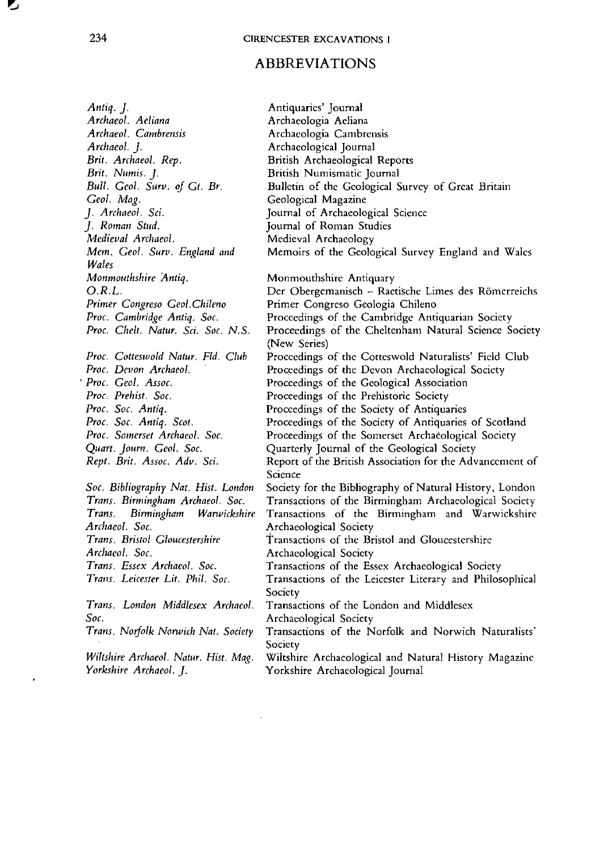# **ABBREVIATIONS**

| Antiq. J.                             | Antiquaries' Journal                                     |
|---------------------------------------|----------------------------------------------------------|
| Archaeol. Aeliana                     | Archaeologia Aeliana                                     |
| Archaeol. Cambrensis                  | Archaeologia Cambrensis                                  |
| Archaeol. J.                          | Archaeological Journal                                   |
| Brit. Archaeol. Rep.                  | <b>British Archaeological Reports</b>                    |
| Brit. Numis. J.                       | British Numismatic Journal                               |
| Bull. Geol. Surv. of Gt. Br.          | Bulletin of the Geological Survey of Great Britain       |
| Geol. Mag.                            | Geological Magazine                                      |
| J. Archaeol. Sci.                     | Journal of Archaeological Science                        |
| J. Roman Stud.                        | Journal of Roman Studies                                 |
| Medieval Archaeol.                    | Medieval Archaeology                                     |
| Mem. Geol. Surv. England and          | Memoirs of the Geological Survey England and Wales       |
| Wales                                 |                                                          |
| Monmouthshire Antiq.                  | Monmouthshire Antiquary                                  |
| O.R.L.                                | Der Obergemanisch - Raetische Limes des Römerreichs      |
| Primer Congreso Geol Chileno          | Primer Congreso Geologia Chileno                         |
| Proc. Cambridge Antiq. Soc.           | Proceedings of the Cambridge Antiquarian Society         |
| Proc. Chelt. Natur. Sci. Soc. N.S.    | Proceedings of the Cheltenham Natural Science Society    |
|                                       | (New Series)                                             |
| Proc. Cotteswold Natur. Fld. Club     | Proceedings of the Cotteswold Naturalists' Field Club    |
| Proc. Devon Archaeol.                 | Proceedings of the Devon Archaeological Society          |
| Proc. Geol. Assoc.                    | Proceedings of the Geological Association                |
| Proc. Prehist. Soc.                   | Proceedings of the Prehistoric Society                   |
| Proc. Soc. Antiq.                     | Proceedings of the Society of Antiquaries                |
| Proc. Soc. Antiq. Scot.               | Proceedings of the Society of Antiquaries of Scotland    |
| Proc. Somerset Archaeol. Soc.         | Proceedings of the Somerset Archaeological Society       |
| Quart. Journ. Geol. Soc.              | Quarterly Journal of the Geological Society              |
| Rept. Brit. Assoc. Adv. Sci.          | Report of the British Association for the Advancement of |
|                                       | Science                                                  |
| Soc. Bibliography Nat. Hist. London   | Society for the Bibliography of Natural History, London  |
| Trans. Birmingham Archaeol. Soc.      | Transactions of the Birmingham Archaeological Society    |
| Birmingham Warwickshire<br>Trans.     | Transactions of the Birmingham and Warwickshire          |
| Archaeol. Soc.                        | Archaeological Society                                   |
| Trans. Bristol Gloucestershire        | Transactions of the Bristol and Gloucestershire          |
| Archaeol. Soc.                        | Archaeological Society                                   |
| Trans. Essex Archaeol. Soc.           | Transactions of the Essex Archaeological Society         |
| Trans. Leicester Lit. Phil. Soc.      | Transactions of the Leicester Literary and Philosophical |
|                                       | Society                                                  |
| Trans. London Middlesex Archaeol.     | Transactions of the London and Middlesex                 |
| $S$ oc.                               | Archaeological Society                                   |
| Trans. Norfolk Norwich Nat. Society   | Transactions of the Norfolk and Norwich Naturalists'     |
|                                       | Society                                                  |
| Wiltshire Archaeol. Natur. Hist. Mag. | Wiltshire Archaeological and Natural History Magazine    |
| Yorkshire Archaeol. J.                | Yorkshire Archaeological Journal                         |
|                                       |                                                          |

 $\mathcal{A}^{\text{max}}$ 

 $\sum_{i=1}^{n}$ 

 $\mathbf{r} = \mathbf{r}$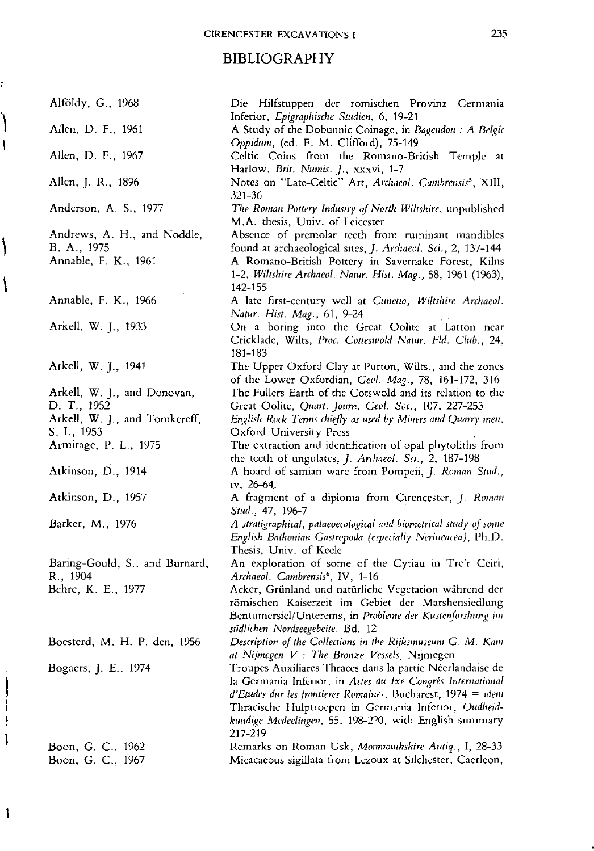# **BIBLIOGRAPHY**

.<br>|<br>|

 $\mathbf{I}$ 

 $\bigg\}$ 

 $\bigg\}$ 

**John Harry Line** 

 $\bigg\}$ 

| Alföldy, G., 1968                          | Die Hilfstuppen der romischen Provinz Germania<br>Inferior, Epigraphische Studien, 6, 19-21                                                                                                                                                                                                                              |
|--------------------------------------------|--------------------------------------------------------------------------------------------------------------------------------------------------------------------------------------------------------------------------------------------------------------------------------------------------------------------------|
| Allen, D. F., 1961                         | A Study of the Dobunnic Coinage, in Bagendon : A Belgic<br>Oppidum, (ed. E. M. Clifford), 75-149                                                                                                                                                                                                                         |
| Allen, D. F., 1967                         | Celtic Coins from the Romano-British Temple at<br>Harlow, Brit. Numis. J., xxxvi, 1-7                                                                                                                                                                                                                                    |
| Allen, J. R., 1896                         | Notes on "Late-Celtic" Art, Archaeol. Cambrensis <sup>5</sup> , XIII,<br>$321 - 36$                                                                                                                                                                                                                                      |
| Anderson, A. S., 1977                      | The Roman Pottery Industry of North Wiltshire, unpublished<br>M.A. thesis, Univ. of Leicester                                                                                                                                                                                                                            |
| Andrews, A. H., and Noddle,                | Absence of premolar teeth from ruminant mandibles                                                                                                                                                                                                                                                                        |
| B. A., 1975                                | found at archaeological sites, <i>J. Archaeol. Sci.</i> , 2, 137-144                                                                                                                                                                                                                                                     |
| Annable, F. K., 1961                       | A Romano-British Pottery in Savernake Forest, Kilns<br>1-2, Wiltshire Archaeol. Natur. Hist. Mag., 58, 1961 (1963),<br>142-155                                                                                                                                                                                           |
| Annable, F. K., 1966                       | A late first-century well at Cunetio, Wiltshire Archaeol.<br>Natur. Hist. Mag., 61, 9-24                                                                                                                                                                                                                                 |
| Arkell, W. J., 1933                        | On a boring into the Great Oolite at Latton near<br>Cricklade, Wilts, Proc. Cotteswold Natur. Fld. Club., 24,<br>181-183                                                                                                                                                                                                 |
| Arkell, W. J., 1941                        | The Upper Oxford Clay at Purton, Wilts., and the zones<br>of the Lower Oxfordian, Geol. Mag., 78, 161-172, 316                                                                                                                                                                                                           |
| Arkell, W. J., and Donovan,                | The Fullers Earth of the Cotswold and its relation to the                                                                                                                                                                                                                                                                |
| D. T., 1952                                | Great Oolite, Quart. Journ. Geol. Soc., 107, 227-253                                                                                                                                                                                                                                                                     |
| Arkell, W. J., and Tomkereff,              | English Rock Terms chiefly as used by Miners and Quarry men,                                                                                                                                                                                                                                                             |
| S. I., 1953                                | Oxford University Press                                                                                                                                                                                                                                                                                                  |
| Armitage, P. L., 1975                      | The extraction and identification of opal phytoliths from<br>the teeth of ungulates, J. Archaeol. Sci., 2, 187-198                                                                                                                                                                                                       |
| Atkinson, D., 1914                         | A hoard of samian ware from Pompeii, J. Roman Stud.,<br>$1v. 26-64.$                                                                                                                                                                                                                                                     |
| Atkinson, D., 1957                         | A fragment of a diploma from Cirencester, J. Roman<br>Stud., 47, 196-7                                                                                                                                                                                                                                                   |
| Barker, M., 1976                           | A stratigraphical, palaeoecological and biometrical study of some<br>English Bathonian Gastropoda (especially Nerineacea), Ph.D.<br>Thesis, Univ. of Keele                                                                                                                                                               |
| Baring-Gould, S., and Burnard,<br>R., 1904 | An exploration of some of the Cytiau in Tre'r Ceiri,<br>Archaeol. Cambrensis <sup>6</sup> , IV, 1-16                                                                                                                                                                                                                     |
| Behre, K. E., 1977                         | Acker, Grünland und natürliche Vegetation während der<br>römischen Kaiserzeit im Gebiet der Marshensiedlung<br>Bentumersiel/Unterems, in Probleme der Kustenforshung im<br>südlichen Nordseegebeite. Bd. 12                                                                                                              |
| Boesterd, M. H. P. den, 1956               | Description of the Collections in the Rijksmuseum G. M. Kam<br>at Nijmegen V : The Bronze Vessels, Nijmegen                                                                                                                                                                                                              |
| Bogaers, J. E., 1974                       | Troupes Auxiliares Thraces dans la partie Néerlandaise de<br>la Germania Inferior, in Actes du Ixe Congrés International<br>$d'Etudes$ dur les frontieres Romaines, Bucharest, 1974 = idem<br>Thracische Hulptroepen in Germania Inferior, Oudheid-<br>kundige Medeelingen, 55, 198-220, with English summary<br>217-219 |
| Boon, G. C., 1962                          | Remarks on Roman Usk, Monmouthshire Antiq., I, 28-33                                                                                                                                                                                                                                                                     |
| Boon, G. C., 1967                          | Micacaeous sigillata from Lezoux at Silchester, Caerleon,                                                                                                                                                                                                                                                                |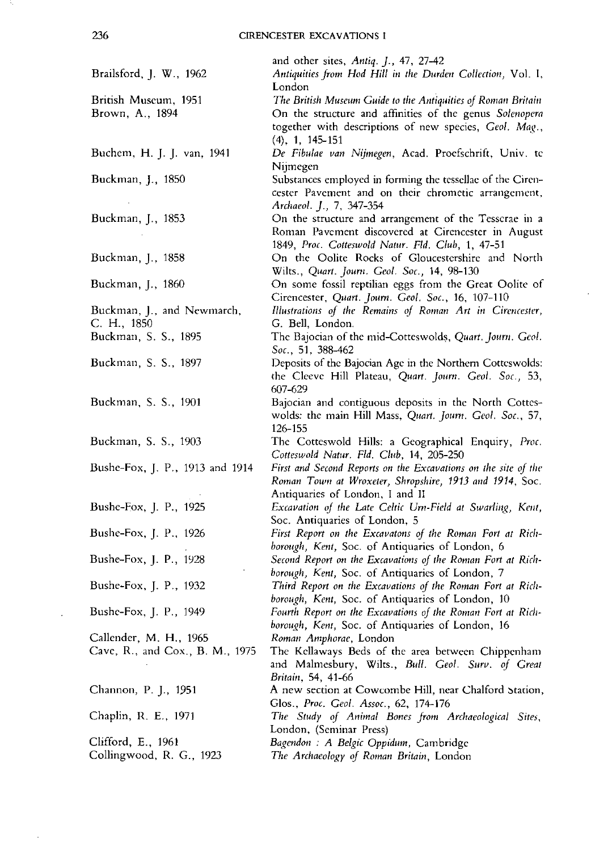| Brailsford, J. W., 1962         | and other sites, Antiq. J., 47, 27-42<br>Antiquities from Hod Hill in the Durden Collection, Vol. I,<br>London |
|---------------------------------|----------------------------------------------------------------------------------------------------------------|
| British Museum, 1951            | The British Museum Guide to the Antiquities of Roman Britain                                                   |
|                                 |                                                                                                                |
| Brown, A., 1894                 | On the structure and affinities of the genus Solenopera                                                        |
|                                 | together with descriptions of new species, Geol. Mag.,<br>$(4)$ , 1, 145-151                                   |
| Buchem, H. J. J. van, 1941      | De Fibulae van Nijmegen, Acad. Proefschrift, Univ. te                                                          |
|                                 | Nijmegen                                                                                                       |
| Buckman, J., 1850               | Substances employed in forming the tessellae of the Ciren-                                                     |
|                                 | cester Pavement and on their chrometic arrangement,<br>Archaeol. J., 7, 347-354                                |
| Buckman, J., 1853               | On the structure and arrangement of the Tesserae in a                                                          |
|                                 |                                                                                                                |
|                                 | Roman Pavement discovered at Cirencester in August                                                             |
|                                 | 1849, Proc. Cotteswold Natur. Fld. Club, 1, 47-51                                                              |
| Buckman, J., 1858               | On the Oolite Rocks of Gloucestershire and North                                                               |
|                                 | Wilts., Quart. Journ. Geol. Soc., 14, 98-130                                                                   |
| Buckman, J., 1860               | On some fossil reptilian eggs from the Great Oolite of                                                         |
|                                 | Cirencester, Quart. Journ. Geol. Soc., 16, 107-110                                                             |
|                                 |                                                                                                                |
| Buckman, J., and Newmarch,      | Illustrations of the Remains of Roman Art in Cirencester,                                                      |
| C. H., 1850                     | G. Bell, London.                                                                                               |
| Buckman, S. S., 1895            | The Bajocian of the mid-Cotteswolds, Quart. Journ. Geol.                                                       |
|                                 | Soc., 51, 388-462                                                                                              |
| Buckman, S. S., 1897            | Deposits of the Bajocian Age in the Northern Cotteswolds:                                                      |
|                                 | the Cleeve Hill Plateau, Quart. Journ. Geol. Soc., 53,                                                         |
|                                 | 607-629                                                                                                        |
|                                 |                                                                                                                |
| Buckman, S. S., 1901            | Bajocian and contiguous deposits in the North Cottes-                                                          |
|                                 | wolds: the main Hill Mass, Quart. Journ. Geol. Soc., 57,                                                       |
|                                 | 126-155                                                                                                        |
| Buckman, S. S., 1903            | The Cotteswold Hills: a Geographical Enquiry, Proc.                                                            |
|                                 | Cotteswold Natur. Fld. Club, 14, 205-250                                                                       |
| Bushe-Fox, J. P., 1913 and 1914 | First and Second Reports on the Excavations on the site of the                                                 |
|                                 | Roman Town at Wroxeter, Shropshire, 1913 and 1914, Soc.                                                        |
|                                 |                                                                                                                |
|                                 | Antiquaries of London, I and II                                                                                |
| Bushe-Fox, J. P., 1925          | Excavation of the Late Celtic Um-Field at Swarling, Kent,                                                      |
|                                 | Soc. Antiquaries of London, 5                                                                                  |
| Bushe-Fox, J. P., 1926          | First Report on the Excavatons of the Roman Fort at Rich-                                                      |
|                                 | borough, Kent, Soc. of Antiquaries of London, 6                                                                |
| Bushe-Fox, J. P., 1928          | Second Report on the Excavations of the Roman Fort at Rich-                                                    |
|                                 | borough, Kent, Soc. of Antiquaries of London, 7                                                                |
|                                 |                                                                                                                |
| Bushe-Fox, J. P., 1932          | Third Report on the Excavations of the Roman Fort at Rich-                                                     |
|                                 | borough, Kent, Soc. of Antiquaries of London, 10                                                               |
| Bushe-Fox, J. P., 1949          | Fourth Report on the Excavations of the Roman Fort at Rich-                                                    |
|                                 | borough, Kent, Soc. of Antiquaries of London, 16                                                               |
| Callender, M. H., 1965          | Roman Amphorae, London                                                                                         |
| Cave, R., and Cox., B. M., 1975 | The Kellaways Beds of the area between Chippenham                                                              |
|                                 | and Malmesbury, Wilts., Bull. Geol. Surv. of Great                                                             |
|                                 | Britain, 54, 41-66                                                                                             |
|                                 |                                                                                                                |
| Channon, P. J., 1951            | A new section at Cowcombe Hill, near Chalford Station,                                                         |
|                                 | Glos., Proc. Geol. Assoc., 62, 174-176                                                                         |
| Chaplin, R. E., 1971            | The Study of Animal Bones from Archaeological Sites,                                                           |
|                                 | London, (Seminar Press)                                                                                        |
| Clifford, E., 1961              | Bagendon : A Belgic Oppidum, Cambridge                                                                         |
| Collingwood, R. G., 1923        | The Archaeology of Roman Britain, London                                                                       |
|                                 |                                                                                                                |

t,

 $\hat{\boldsymbol{\cdot}$ 

- 52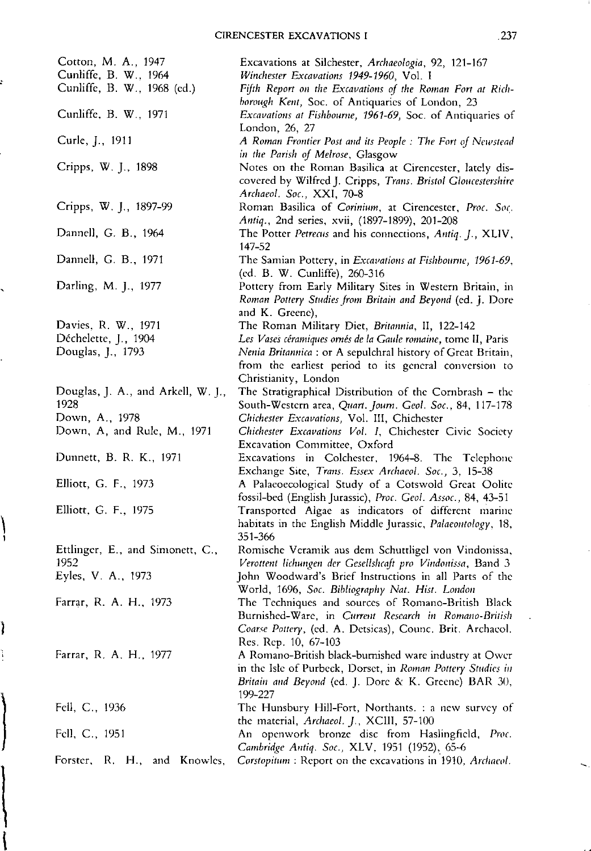,

 $\overline{\phantom{0}}$ 

 $\left.\right|$ 

Ì

 $\begin{matrix} \phantom{-} \end{matrix}$ 

 $\left\{ \right.$ 

 $\pmb{\mathfrak{f}}$ 

| Cotton, M. A., 1947                | Excavations at Silchester, Archaeologia, 92, 121-167                                                                                      |
|------------------------------------|-------------------------------------------------------------------------------------------------------------------------------------------|
| Cunliffe, B. W., 1964              | Winchester Excavations 1949-1960, Vol. I                                                                                                  |
| Cunliffe, B. W., 1968 (cd.)        | Fifth Report on the Excavations of the Roman Fort at Rich-<br>borough Kent, Soc. of Antiquaries of London, 23                             |
| Cunliffe, B. W., 1971              | Excavations at Fishbourne, 1961-69, Soc. of Antiquaries of<br>London, 26, 27                                                              |
| Curle, J., 1911                    | A Roman Frontier Post and its People: The Fort of Newstead<br>in the Parish of Melrose, Glasgow                                           |
| Cripps, W. J., 1898                | Notes on the Roman Basilica at Cirencester, lately dis-                                                                                   |
|                                    | covered by Wilfred J. Cripps, Trans. Bristol Gloucestershire<br>Archaeol. Soc., XXI, 70-8                                                 |
| Cripps, W. J., 1897-99             | Roman Basilica of Corinium, at Cirencester, Proc. Soc.                                                                                    |
| Dannell, G. B., 1964               | Antiq., 2nd series, xvii, (1897-1899), 201-208<br>The Potter Petrecus and his connections, Antiq. J., XLIV,<br>147-52                     |
| Dannell, G. B., 1971               | The Samian Pottery, in Excavations at Fishbourne, 1961-69,                                                                                |
|                                    | (ed. B. W. Cunliffe), 260-316                                                                                                             |
| Darling, M. J., 1977               | Pottery from Early Military Sites in Western Britain, in<br>Roman Pottery Studies from Britain and Beyond (ed. J. Dore<br>and K. Greene), |
| Davies, R. W., 1971                | The Roman Military Diet, Britannia, II, 122-142                                                                                           |
| Déchelette, J., 1904               | Les Vases céramiques ornés de la Gaule romaine, tome II, Paris                                                                            |
| Douglas, J., 1793                  | Nenia Britannica : or A sepulchral history of Great Britain,                                                                              |
|                                    | from the earliest period to its general conversion to                                                                                     |
|                                    | Christianity, London                                                                                                                      |
| Douglas, J. A., and Arkell, W. J., | The Stratigraphical Distribution of the Cornbrash - the                                                                                   |
| 1928                               | South-Western area, Quart. Journ. Geol. Soc., 84, 117-178                                                                                 |
| Down, A., 1978                     | Chichester Excavations, Vol. III, Chichester                                                                                              |
| Down, A, and Rule, M., 1971        | Chichester Excavations Vol. I, Chichester Civic Society                                                                                   |
|                                    | Excavation Committee, Oxford                                                                                                              |
| Dunnett, B. R. K., 1971            | Excavations in Colchester, 1964-8. The Telephone                                                                                          |
|                                    | Exchange Site, Trans. Essex Archaeol. Soc., 3, 15-38                                                                                      |
| Elliott, G. F., 1973               | A Palaeoecological Study of a Cotswold Great Oolite                                                                                       |
| Elliott, G. F., 1975               | fossil-bed (English Jurassic), Proc. Geol. Assoc., 84, 43-51                                                                              |
|                                    | Transported Algae as indicators of different marine                                                                                       |
|                                    | habitats in the English Middle Jurassic, <i>Palaeontology</i> , 18,<br>351-366                                                            |
| Ettlinger, E., and Simonett, C.,   | Romische Veramik aus dem Schuttligel von Vindonissa,                                                                                      |
| 1952                               | Verottent lichungen der Gesellshcaft pro Vindonissa, Band 3                                                                               |
| Eyles, V. A., 1973                 | John Woodward's Brief Instructions in all Parts of the                                                                                    |
|                                    | World, 1696, Soc. Bibliography Nat. Hist. London                                                                                          |
| Farrar, R. A. H., 1973             | The Techniques and sources of Romano-British Black                                                                                        |
|                                    | Burnished-Ware, in Current Research in Romano-British                                                                                     |
|                                    | Coarse Pottery, (ed. A. Detsicas), Counc. Brit. Archaeol.                                                                                 |
|                                    | Res. Rep. 10, 67-103                                                                                                                      |
| Farrar, R. A. H., 1977             | A Romano-British black-burnished ware industry at Ower                                                                                    |
|                                    | in the Isle of Purbeck, Dorset, in Roman Pottery Studies in                                                                               |
|                                    | Britain and Beyond (ed. J. Dore & K. Greene) BAR 30,                                                                                      |
|                                    | 199-227                                                                                                                                   |
| Fell, C., 1936                     | The Hunsbury Hill-Fort, Northants. : a new survey of<br>the material, Archaeol. J., XCIII, 57-100                                         |
| Fell, C., 1951                     | An openwork bronze disc from Haslingfield, Proc.                                                                                          |
|                                    | Cambridge Antiq. Soc., XLV, 1951 (1952), 65-6                                                                                             |
| Forster, R. H., and Knowles,       | Corstopitum : Report on the excavations in 1910, Archaeol.                                                                                |
|                                    |                                                                                                                                           |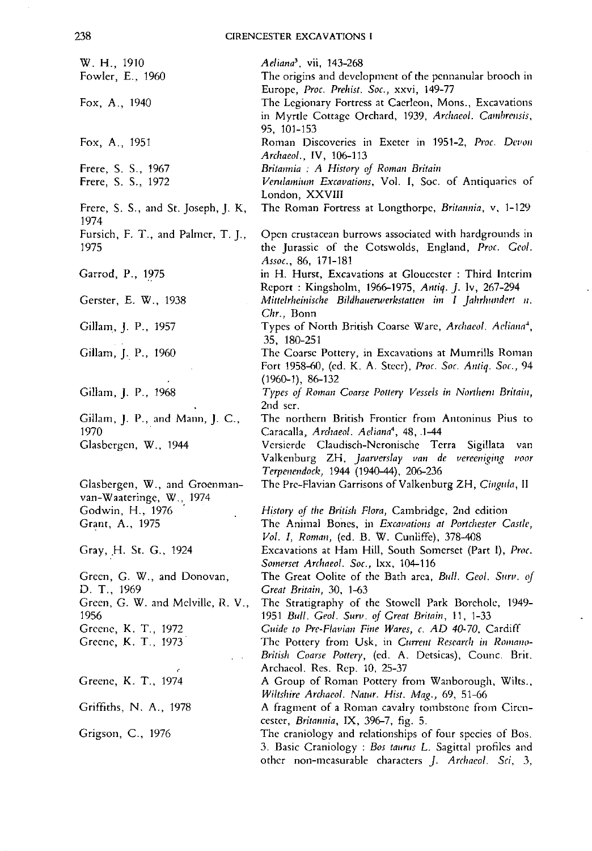W. H., 1910 Fowler, E., 1960 Fox, A., 1940 Fox, A., 1951 Frere, S. S., 1967 Frere, S. S., 1972 Frere, S. S., and St. Joseph, J. K, 1974 Fursich, F. T., and Palmer, T. J., 1975 Garrod, P., 1975 Gerster, E. W., 1938 Gillam, J. P., 1957 Gillam, J. P., 1960 Gillam, J. P., 1968 Gillam, J. P., and Mann, J. c., 1970 Glasbergen, W., 1944 Glasbergen, W., and Groenmanvan-Waateringe, W., 1974 Godwin, H., 1976 . Grant, A., 1975 Gray, H. St. G., 1924 Green, G. W., and Donovan, D. T., 1969 Green, G. W. and Melville, R. V., 1956 Greene, K. T., 1972 Greene, K. T., 1973' Greene, K. T., 1974 Griffiths, N. A., 1978 Grigson, c., 1976 *Aeliana',* vii, 143-268 The origins and development of the pennanular brooch in Europe, *Proc. Prehist, Soc.,* xxvi, 149-77 The Legionary Fortress at Caerleon, Mons., Excavations in Myrtle Cottage Orchard, 1939, *Archaeol*. *Cambrensis*, 95, 101-153 Roman Discoveries in Exeter in 1951-2, *Proc, Devon Archaeol.,* IV, 106-113 *Britmmia* : *A History* of *Roman Britain Verulamium Excavations, Vol. I, Soc. of Antiquaries of* London, XXVIII The Roman Fortress at Longthorpe, *Britannia,* v, 1-129 Open crustacean burrows associated with hardgrounds in the Jurassic of the Cotswolds, England, *Prot, Ceol. Assoc.,* 86, 171-181 in H. Hurst, Excavations at Gloucester : Third Interim Report: Kingsholm, 1966-1975, *Atltiq.* j. lv, 267-294 *Mittelrheinische Bildhauerwerkstatien im I jahrlumdert* II. *Chr.,* Bonn Types of North British Coarse Ware, *Archaeol. Aeliaua",* 35, 180-251 The Coarse Pottery, in Excavations at Mumrills Roman Fort 1958-60, (cd, K. A. Steer), *Proc, Soc. Antiq. Soc., 94* (1960-1), 86-132 *Types oj Roman Coarse Pottery Vessels* iu *Northern Britaiu,* 2nd ser. The northern British Frontier from Antoninus Pius to Caracalla, *Arthaeol. Aeliaua4 ,* 48, .1-44 Vcrsierdc Claudisch-Neronische Terra Sigillata van Valkenburg ZH, *jaaroersla)' van de vereen;gil/g "oar Terpenendock,* 1944 (1940-44), 206-236 The Pre-Flavian Garrisons of Valkenburg ZH, *Cinoula,* <sup>11</sup> *History oj the British Flora,* Cambridge, 2nd edition The Animal Bones, in *Excavations* at *Portchester* Castle, *Vol. I, Roman,* (ed. B. W. Cunliffe), 378-408 Excavations at Ham Hill, South Somerset (Part I), *Prot, Somerset Arc/raeo/. Soc.,* lxx, 104-116 The Great Oolite of the Bath area, *Bull. Geol. Surv. of Great Britain,* 30, 1-63 The Stratigraphy of the Stowell Park Borehole, 1949- *1951 Bull. Ceo/. Sun!. oj Creat Britain,* 11, 1-33 *Cuide to Prc-Flavian Fine Wares,* c. *AD 40-70,* Cardiff The Pottery from Usk, in *Current Research in Romano-British Coarse Pottery,* (ed. A. Detsicas), Counc. Brit. Archacol, Res. Rep. 10, 25-37 A Group of Roman Pottery from Wanborough, Wilts., *Wiltshire Archaeol. Natur. Hist. Mag.,* 69, 51-66 A fragment of a Roman cavalry tombstone from Circncestcr, *Britannia,* IX, 396-7, fig. 5. The craniology and relationships of four species of Bos. 3. Basic Craniology: *Bas taurus* L. Sagittal profiles and other non-measurable characters j. *Archaeol. Sci, 3,*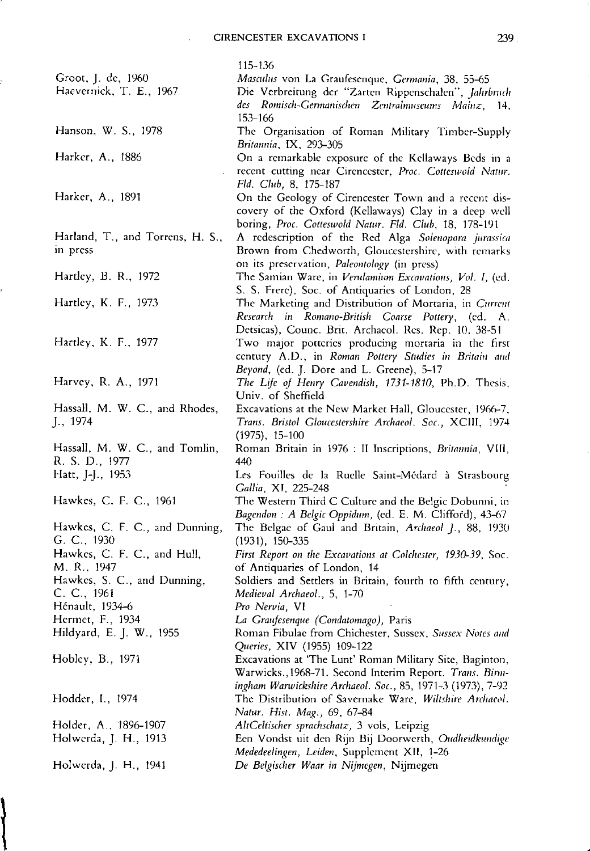$\ddot{\phantom{a}}$ 

|                                                  | 115-136                                                                                                                                                                                                               |
|--------------------------------------------------|-----------------------------------------------------------------------------------------------------------------------------------------------------------------------------------------------------------------------|
| Groot, J. de, 1960<br>Haevernick, T. E., 1967    | Masculus von La Graufesenque, Germania, 38, 55-65<br>Die Verbreitung der "Zarten Rippenschalen", Jahrbruch<br>des Romisch-Germanischen Zentralmuseums Mainz, 14,                                                      |
| Hanson, W. S., 1978                              | 153-166<br>The Organisation of Roman Military Timber-Supply<br>Britannia, IX, 293-305                                                                                                                                 |
| Harker, A., 1886                                 | On a remarkable exposure of the Kellaways Beds in a                                                                                                                                                                   |
|                                                  | recent cutting near Cirencester, Proc. Cotteswold Natur.                                                                                                                                                              |
| Harker, A., 1891                                 | Fld. Club, 8, 175-187<br>On the Geology of Cirencester Town and a recent dis-<br>covery of the Oxford (Kellaways) Clay in a deep well                                                                                 |
| Harland, T., and Torrens, H. S.,<br>in press     | boring, Proc. Cotteswold Natur. Fld. Club, 18, 178-191<br>A redescription of the Red Alga Solenopora jurassica<br>Brown from Chedworth, Gloucestershire, with remarks<br>on its preservation, Paleontology (in press) |
| Hartley, B. R., 1972                             | The Samian Ware, in Verulamium Excavations, Vol. I, (ed.                                                                                                                                                              |
| Hartley, K. F., 1973                             | S. S. Frere), Soc. of Antiquaries of London, 28<br>The Marketing and Distribution of Mortaria, in Current<br>Research in Romano-British Coarse Pottery, (cd. A.                                                       |
| Hartley, K. F., 1977                             | Detsicas), Counc. Brit. Archaeol. Res. Rep. 10, 38-51<br>Two major potteries producing mortaria in the first<br>century A.D., in Roman Pottery Studies in Britain and                                                 |
| Harvey, R. A., 1971                              | Beyond, (ed. J. Dore and L. Greene), 5-17<br>The Life of Henry Cavendish, 1731-1810, Ph.D. Thesis,<br>Univ. of Sheffield                                                                                              |
| Hassall, M. W. C., and Rhodes,<br>J., 1974       | Excavations at the New Market Hall, Gloucester, 1966-7,<br>Trans. Bristol Gloucestershire Archaeol. Soc., XCIII, 1974<br>$(1975), 15-100$                                                                             |
| Hassall, M. W. C., and Tomlin,<br>R. S. D., 1977 | Roman Britain in 1976 : II Inscriptions, Britannia, VIII,<br>440                                                                                                                                                      |
| Hatt, J-J., 1953                                 | Les Fouilles de la Ruelle Saint-Médard à Strasbourg                                                                                                                                                                   |
| Hawkes, C. F. C., 1961                           | Gallia, XI, 225-248<br>The Western Third C Culture and the Belgic Dobunni, in<br>Bagendon : A Belgic Oppidum, (ed. E. M. Clifford), 43-67                                                                             |
| Hawkes, C. F. C., and Dunning,<br>G. C., 1930    | The Belgae of Gaul and Britain, Archaeol J., 88, 1930<br>$(1931), 150-335$                                                                                                                                            |
| Hawkes, C. F. C., and Hull,<br>M. R., 1947       | First Report on the Excavations at Colchester, 1930-39, Soc.                                                                                                                                                          |
| Hawkes, S. C., and Dunning,                      | of Antiquaries of London, 14<br>Soldiers and Settlers in Britain, fourth to fifth century,                                                                                                                            |
| C. C., 1961                                      | Medieval Archaeol., 5, 1-70                                                                                                                                                                                           |
| Hénault, 1934-6                                  | Pro Nervia, VI                                                                                                                                                                                                        |
| Hermet, F., 1934                                 | La Graufesenque (Condatomago), Paris                                                                                                                                                                                  |
| Hildyard, E. J. W., 1955                         | Roman Fibulae from Chichester, Sussex, Sussex Notes and<br>Queries, XIV (1955) 109-122                                                                                                                                |
| Hobley, B., 1971                                 | Excavations at 'The Lunt' Roman Military Site, Baginton,<br>Warwicks., 1968-71. Second Interim Report. Trans. Birm-                                                                                                   |
| Hodder, I., 1974                                 | ingham Warwickshire Archaeol. Soc., 85, 1971-3 (1973), 7-92<br>The Distribution of Savernake Ware, Wiltshire Archaeol.<br>Natur. Hist. Mag., 69, 67-84                                                                |
| Holder, A., 1896-1907                            | AltCeltischer sprachschatz, 3 vols, Leipzig                                                                                                                                                                           |
| Holwerda, J. H., 1913                            | Een Vondst uit den Rijn Bij Doorwerth, Oudheidkundige                                                                                                                                                                 |
| Holwerda, J. H., 1941                            | Mededeelingen, Leiden, Supplement XII, 1-26<br>De Belgischer Waar in Nijmegen, Nijmegen                                                                                                                               |
|                                                  |                                                                                                                                                                                                                       |

 $\left\{$ 

š,

•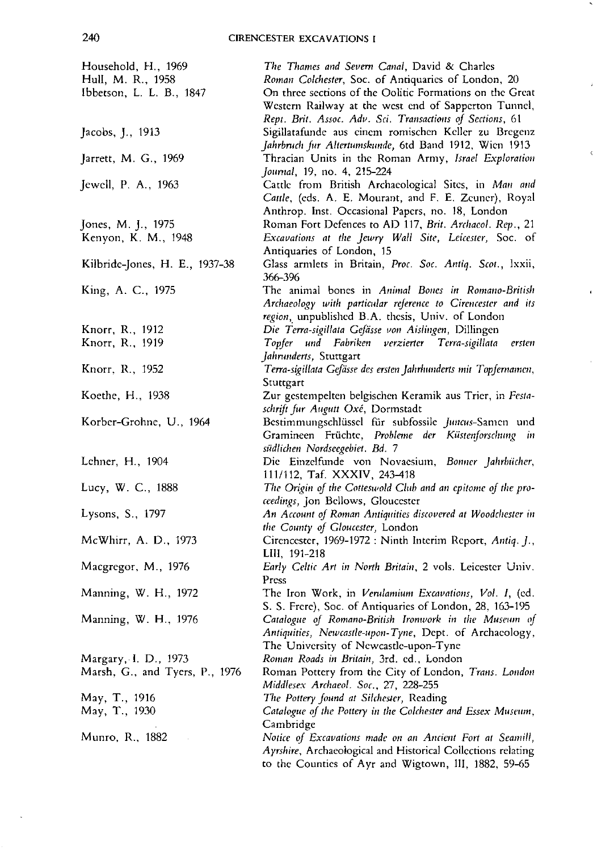$\tilde{\phantom{a}}$ 

| Household, H., 1969<br>Hull, M. R., 1958 | The Thames and Severn Canal, David & Charles<br>Roman Colchester, Soc. of Antiquaries of London, 20                                                                           |
|------------------------------------------|-------------------------------------------------------------------------------------------------------------------------------------------------------------------------------|
| Ibbetson, L. L. B., 1847                 | On three sections of the Oolitic Formations on the Great<br>Western Railway at the west end of Sapperton Tunnel,<br>Rept. Brit. Assoc. Adv. Sci. Transactions of Sections, 61 |
| Jacobs, J., 1913                         | Sigillatafunde aus einem romischen Keller zu Bregenz<br>Jahrbruch fur Altertumskunde, 6td Band 1912, Wien 1913                                                                |
| Jarrett, M. G., 1969                     | Thracian Units in the Roman Army, Israel Exploration<br>Journal, 19, no. 4, 215-224                                                                                           |
| Jewell, P. A., 1963                      | Cattle from British Archaeological Sites, in Man and<br>Cattle, (eds. A. E. Mourant, and F. E. Zeuner), Royal<br>Anthrop. Inst. Occasional Papers, no. 18, London             |
| Jones, M. J., 1975                       | Roman Fort Defences to AD 117, Brit. Archaeol. Rep., 21                                                                                                                       |
| Kenyon, K. M., 1948                      | Excavations at the Jewry Wall Site, Leicester, Soc. of                                                                                                                        |
|                                          | Antiquaries of London, 15                                                                                                                                                     |
| Kilbride-Jones, H. E., 1937-38           | Glass armlets in Britain, Proc. Soc. Antiq. Scot., Ixxii,<br>366-396                                                                                                          |
| King, A. C., 1975                        | The animal bones in Animal Bones in Romano-British                                                                                                                            |
|                                          | Archaeology with particular reference to Cirencester and its                                                                                                                  |
|                                          | region, unpublished B.A. thesis, Univ. of London                                                                                                                              |
| Knorr, R., 1912                          | Die Terra-sigillata Gefässe von Aislingen, Dillingen                                                                                                                          |
| Knorr, R., 1919                          | Topfer und Fabriken verzierter Terra-sigillata<br>ersten                                                                                                                      |
|                                          | Jahrunderts, Stuttgart                                                                                                                                                        |
| Knorr, R., 1952                          | Terra-sigillata Gefässe des ersten Jahrhunderts mit Topfernamen,                                                                                                              |
|                                          | Stuttgart                                                                                                                                                                     |
| Koethe, H., 1938                         | Zur gestempelten belgischen Keramik aus Trier, in Festa-                                                                                                                      |
|                                          | schrift fur Augutt Oxé, Dormstadt                                                                                                                                             |
| Korber-Grohne, U., 1964                  | Bestimmungschlüssel für subfossile Juncus-Samen und<br>Gramineen Früchte, Probleme der Küstenforschung in<br>südlichen Nordseegebiet. Bd. 7                                   |
| Lehner, H., 1904                         | Die Einzelfunde von Novaesium, Bonner Jahrbücher,<br>111/112, Taf. XXXIV, 243-418                                                                                             |
| Lucy, W. C., 1888                        | The Origin of the Cotteswold Club and an epitome of the pro-<br>ceedings, Jon Bellows, Gloucester                                                                             |
| Lysons, S., 1797                         | An Account of Roman Antiquities discovered at Woodchester in<br>the County of Gloucester, London                                                                              |
| McWhirr, A. D., 1973                     | Cirencester, 1969-1972 : Ninth Interim Report, Antiq. J.,<br>LIII, 191-218                                                                                                    |
| Macgregor, M., 1976                      | Early Celtic Art in North Britain, 2 vols. Leicester Univ.<br>Press                                                                                                           |
| Manning, W. H., 1972                     | The Iron Work, in Verulamium Excavations, Vol. I, (ed.<br>S. S. Frere), Soc. of Antiquaries of London, 28, 163-195                                                            |
| Manning, W. H., 1976                     | Catalogue of Romano-British Ironwork in the Museum of<br>Antiquities, Newcastle-upon-Tyne, Dept. of Archaeology,<br>The University of Newcastle-upon-Tyne                     |
| Margary, I. D., 1973                     | Roman Roads in Britain, 3rd. ed., London                                                                                                                                      |
| Marsh, G., and Tyers, P., 1976           | Roman Pottery from the City of London, Trans. London                                                                                                                          |
|                                          | Middlesex Archaeol. Soc., 27, 228-255                                                                                                                                         |
| May, T., 1916                            | The Pottery found at Silchester, Reading                                                                                                                                      |
| May, T., 1930                            | Catalogue of the Pottery in the Colchester and Essex Museum,                                                                                                                  |
|                                          | Cambridge                                                                                                                                                                     |
| Munro, R., 1882                          | Notice of Excavations made on an Ancient Fort at Seamill,                                                                                                                     |
|                                          | Ayrshire, Archaeological and Historical Collections relating                                                                                                                  |
|                                          | to the Counties of Ayr and Wigtown, III, 1882, 59-65                                                                                                                          |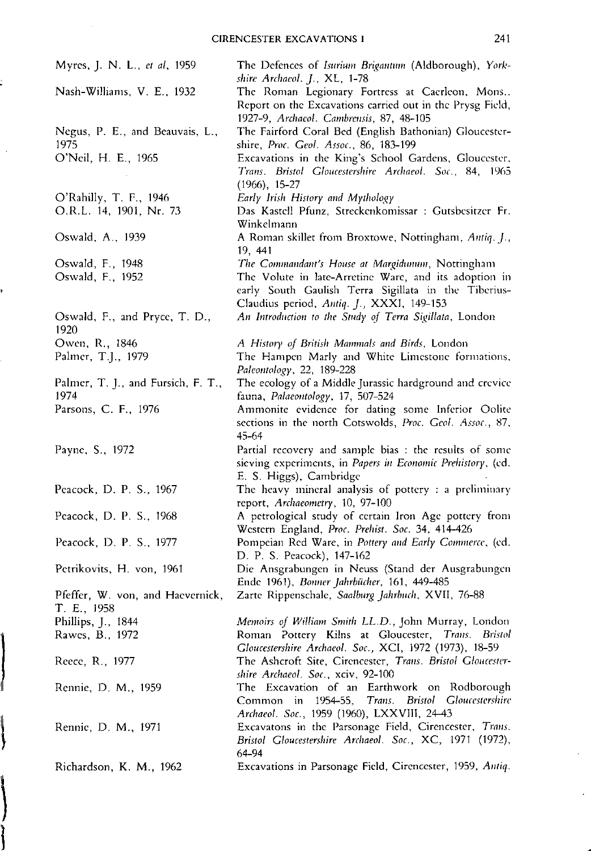| Myres, J. N. L., et al, 1959                    | The Defences of Isurium Brigantum (Aldborough), York-<br>shire Archaeol. J., XL, 1-78                                                                      |
|-------------------------------------------------|------------------------------------------------------------------------------------------------------------------------------------------------------------|
| Nash-Williams, V. E., 1932                      | The Roman Legionary Fortress at Caerleon, Mons<br>Report on the Excavations carried out in the Prysg Field,<br>1927-9, Archaeol. Cambrensis, 87, 48-105    |
| Negus, P. E., and Beauvais, L.,<br>1975         | The Fairford Coral Bed (English Bathonian) Gloucester-<br>shire, Proc. Geol. Assoc., 86, 183-199                                                           |
| O'Neil, H. E., 1965                             | Excavations in the King's School Gardens, Gloucester,<br>Trans. Bristol Gloucestershire Archaeol. Soc., 84, 1965<br>$(1966), 15-27$                        |
| O'Rahilly, T. F., 1946                          | Early Irish History and Mythology                                                                                                                          |
| O.R.L. 14, 1901, Nr. 73                         | Das Kastell Pfunz, Streckenkomissar : Gutsbesitzer Fr.<br>Winkelmann                                                                                       |
| Oswald, A., 1939                                | A Roman skillet from Broxtowe, Nottingham, Antiq. J.,<br>19, 441                                                                                           |
| Oswald, F., 1948                                | The Commandant's House at Margidunum, Nottingham                                                                                                           |
| Oswald, F., 1952                                | The Volute in late-Arretine Ware, and its adoption in<br>early South Gaulish Terra Sigillata in the Tiberius-<br>Claudius period, Antiq. J., XXXI, 149-153 |
| Oswald, F., and Pryce, T. D.,<br>1920           | An Introduction to the Study of Terra Sigillata, London                                                                                                    |
| Owen, R., 1846                                  | A History of British Mammals and Birds, London                                                                                                             |
| Palmer, T.J., 1979                              | The Hampen Marly and White Limestone formations,<br>Paleontology, 22, 189-228                                                                              |
| Palmer, T. J., and Fursich, F. T.,<br>1974      | The ecology of a Middle Jurassic hardground and crevice<br>fauna, Palaeontology, 17, 507-524                                                               |
| Parsons, C. F., 1976                            | Ammonite evidence for dating some Inferior Oolite<br>sections in the north Cotswolds, Proc. Geol. Assoc., 87,<br>$45 - 64$                                 |
| Payne, S., 1972                                 | Partial recovery and sample bias : the results of some<br>sieving experiments, in Papers in Economic Prehistory, (ed.<br>E. S. Higgs), Cambridge           |
| Peacock, D. P. S., 1967                         | The heavy mineral analysis of pottery : a preliminary<br>report, Archaeometry, 10, 97-100                                                                  |
| Peacock, D. P. S., 1968                         | A petrological study of certain Iron Age pottery from<br>Western England, Proc. Prehist. Soc. 34, 414-426                                                  |
| Peacock, D. P. S., 1977                         | Pompeian Red Ware, in Pottery and Early Commerce, (ed.<br>D. P. S. Peacock), 147-162                                                                       |
| Petrikovits, H. von, 1961                       | Die Ansgrabungen in Neuss (Stand der Ausgrabungen<br>Ende 1961), Bonner Jahrbücher, 161, 449-485                                                           |
| Pfeffer, W. von, and Haevernick,<br>T. E., 1958 | Zarte Rippenschale, Saalburg Jahrbuch, XVII, 76-88                                                                                                         |
| Phillips, J., 1844                              | Memoirs of William Smith LL.D., John Murray, London                                                                                                        |
| Rawes, B., 1972                                 | Roman Pottery Kilns at Gloucester, Trans. Bristol<br>Gloucestershire Archaeol. Soc., XCI, 1972 (1973), 18-59                                               |
| Reece, R., 1977                                 | The Ashcroft Site, Cirencester, Trans. Bristol Gloucester-<br>shire Archaeol. Soc., xciv, 92-100                                                           |
| Rennie, D. M., 1959                             | The Excavation of an Earthwork on Rodborough<br>1954-55, Trans. Bristol Gloucestershire<br>Common in<br>Archaeol. Soc., 1959 (1960), LXXVIII, 24-43        |
| Rennie, D. M., 1971                             | Excavatons in the Parsonage Field, Cirencester, Trans.<br>Bristol Gloucestershire Archaeol. Soc., XC, 1971 (1972),<br>64-94                                |
| Richardson, K. M., 1962                         | Excavations in Parsonage Field, Cirencester, 1959, Antiq.                                                                                                  |

**International Property** 

 $\bar{z}$ 

 $\int$ 

J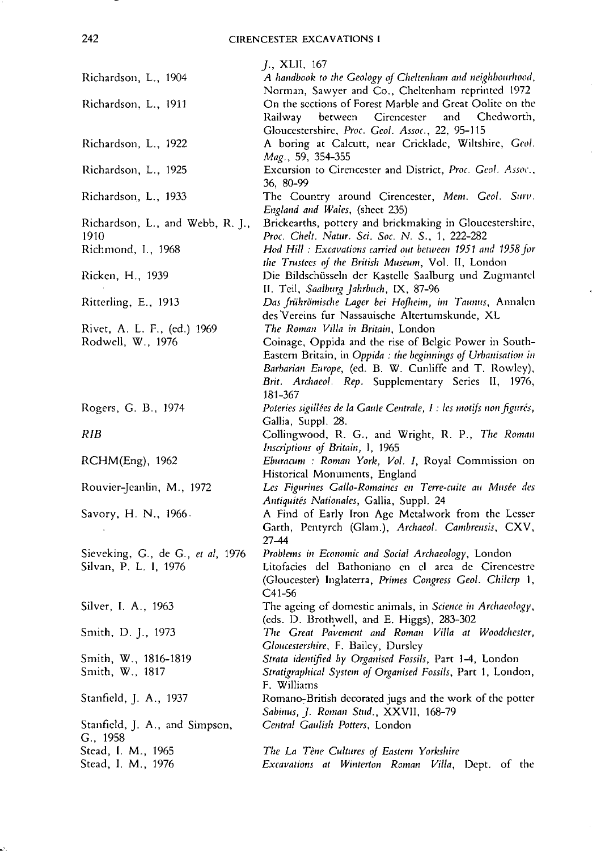242 CIRENCESTER EXCAVATIONS I

|                                                            | <i>J.</i> , XLII, 167                                                                                                                                                                                                                                                                     |
|------------------------------------------------------------|-------------------------------------------------------------------------------------------------------------------------------------------------------------------------------------------------------------------------------------------------------------------------------------------|
| Richardson, L., 1904                                       | A handbook to the Geology of Cheltenham and neighbourhood,<br>Norman, Sawyer and Co., Cheltenham reprinted 1972                                                                                                                                                                           |
| Richardson, L., 1911                                       | On the sections of Forest Marble and Great Oolite on the<br>Railway between Cirencester and Chedworth,                                                                                                                                                                                    |
| Richardson, L., 1922                                       | Gloucestershire, Proc. Geol. Assoc., 22, 95-115<br>A boring at Calcutt, near Cricklade, Wiltshire, Geol.<br>Mag., 59, 354-355                                                                                                                                                             |
| Richardson, L., 1925                                       | Excursion to Cirencester and District, Proc. Geol. Assoc.,<br>36, 80-99                                                                                                                                                                                                                   |
| Richardson, L., 1933                                       | The Country around Cirencester, Mem. Geol. Surv.<br>England and Wales, (sheet 235)                                                                                                                                                                                                        |
| Richardson, L., and Webb, R. J.,<br>1910                   | Brickearths, pottery and brickmaking in Gloucestershire,<br>Proc. Chelt. Natur. Sci. Soc. N. S., 1, 222-282                                                                                                                                                                               |
| Richmond, I., 1968                                         | Hod Hill: Excavations carried out between 1951 and 1958 for<br>the Trustees of the British Museum, Vol. II, London                                                                                                                                                                        |
| Ricken, H., 1939                                           | Die Bildschüsseln der Kastelle Saalburg und Zugmantel<br>II. Teil, Saalburg Jahrbuch, IX, 87-96                                                                                                                                                                                           |
| Ritterling, E., 1913                                       | Das frührömische Lager bei Hofheim, im Taunus, Annalen<br>des Vereins fur Nassauische Altertumskunde, XL                                                                                                                                                                                  |
| Rivet, A. L. F., (ed.) 1969<br>Rodwell, W., 1976           | The Roman Villa in Britain, London<br>Coinage, Oppida and the rise of Belgic Power in South-<br>Eastern Britain, in Oppida : the beginnings of Urbanisation in<br>Barbarian Europe, (ed. B. W. Cunliffe and T. Rowley),<br>Brit. Archaeol. Rep. Supplementary Series II, 1976,<br>181-367 |
| Rogers, G. B., 1974                                        | Poteries sigillées de la Gaule Centrale, I : les motifs non figurés,<br>Gallia, Suppl. 28.                                                                                                                                                                                                |
| <b>RIB</b>                                                 | Collingwood, R. G., and Wright, R. P., The Roman<br>Inscriptions of Britain, I, 1965                                                                                                                                                                                                      |
| RCHM(Eng), 1962                                            | Eburacum : Roman York, Vol. I, Royal Commission on<br>Historical Monuments, England                                                                                                                                                                                                       |
| Rouvier-Jeanlin, M., 1972                                  | Les Figurines Gallo-Romaines en Terre-cuite au Musée des<br>Antiquités Nationales, Gallia, Suppl. 24                                                                                                                                                                                      |
| Savory, H. N., 1966.                                       | A Find of Early Iron Age Metalwork from the Lesser<br>Garth, Pentyrch (Glam.), Archaeol. Cambrensis, CXV,<br>27–44                                                                                                                                                                        |
| Sieveking, G., de G., et al, 1976<br>Silvan, P. L. I, 1976 | Problems in Economic and Social Archaeology, London<br>Litofacies del Bathoniano en el area de Cirencestre<br>(Gloucester) Inglaterra, Primes Congress Geol. Chilerp 1,<br>$C41-56$                                                                                                       |
| Silver, I. A., 1963                                        | The ageing of domestic animals, in Science in Archaeology,<br>(cds. D. Brothwell, and E. Higgs), 283-302                                                                                                                                                                                  |
| Smith, D. J., 1973                                         | The Great Pavement and Roman Villa at Woodchester,<br>Gloucestershire, F. Bailey, Dursley                                                                                                                                                                                                 |
| Smith, W., 1816-1819<br>Smith, W., 1817                    | Strata identified by Organised Fossils, Part 1-4, London<br>Stratigraphical System of Organised Fossils, Part 1, London,<br>F. Williams                                                                                                                                                   |
| Stanfield, J. A., 1937                                     | Romano-British decorated jugs and the work of the potter<br>Sabinus, J. Roman Stud., XXVII, 168-79                                                                                                                                                                                        |
| Stanfield, J. A., and Simpson,<br>G., 1958                 | Central Gaulish Potters, London                                                                                                                                                                                                                                                           |
| Stead, I. M., 1965<br>Stead, I. M., 1976                   | The La Tène Cultures of Eastern Yorkshire<br>Excavations at Winterton Roman Villa, Dept. of the                                                                                                                                                                                           |

-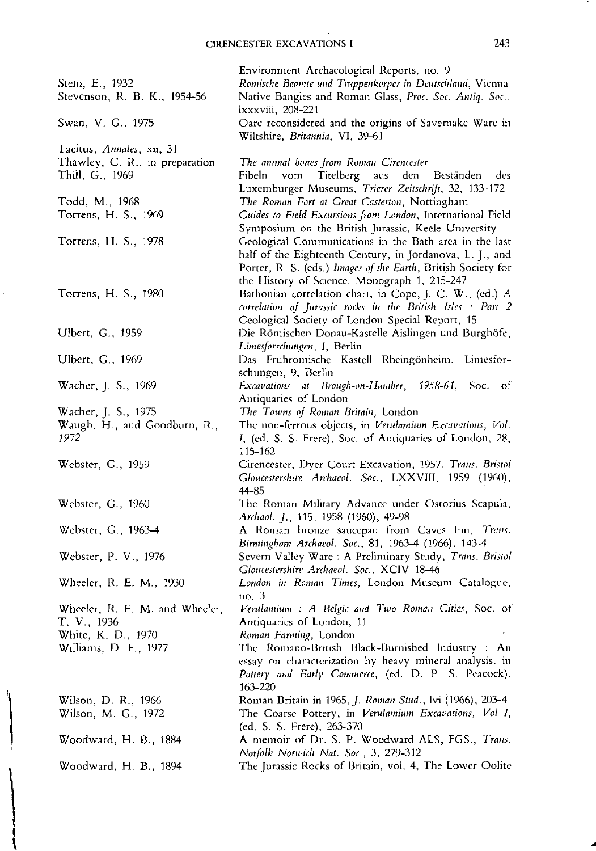$\mathcal{L}$ 

| Stein, E., 1932                                   | Environment Archaeological Reports, no. 9<br>Romische Beamte und Truppenkorper in Deutschland, Vienna                                                                               |
|---------------------------------------------------|-------------------------------------------------------------------------------------------------------------------------------------------------------------------------------------|
| Stevenson, R. B. K., 1954-56                      | Native Bangles and Roman Glass, Proc. Soc. Antiq. Soc.,<br>lxxxviii, 208-221                                                                                                        |
| Swan, V. G., 1975                                 | Oare reconsidered and the origins of Savernake Ware in<br>Wiltshire, Britannia, VI, 39-61                                                                                           |
| Tacitus, Annales, xii, 31                         |                                                                                                                                                                                     |
| Thawley, C. R., in preparation<br>Thill, G., 1969 | The animal bones from Roman Cirencester<br>Titelberg aus<br>den<br>Beständen<br>Fibeln<br>vom<br>des                                                                                |
| Todd, M., 1968                                    | Luxemburger Museums, Trierer Zeitschrift, 32, 133-172<br>The Roman Fort at Great Casterton, Nottingham                                                                              |
| Torrens, H. S., 1969                              | Guides to Field Excursions from London, International Field<br>Symposium on the British Jurassic, Keele University                                                                  |
| Torrens, H. S., 1978                              | Geological Communications in the Bath area in the last<br>half of the Eighteenth Century, in Jordanova, L. J., and<br>Porter, R. S. (eds.) Images of the Earth, British Society for |
| Torrens, H. S., 1980                              | the History of Science, Monograph 1, 215-247<br>Bathonian correlation chart, in Cope, J. C. W., (ed.) A<br>correlation of Jurassic rocks in the British Isles : Part 2              |
|                                                   | Geological Society of London Special Report, 15                                                                                                                                     |
| Ulbert, G., 1959                                  | Die Römischen Donau-Kastelle Aislingen und Burghöfe,<br>Limesforschungen, I, Berlin                                                                                                 |
| Ulbert, G., 1969                                  | Das Fruhromische Kastell Rheingönheim, Limesfor-                                                                                                                                    |
|                                                   | schungen, 9, Berlin                                                                                                                                                                 |
| Wacher, J. S., 1969                               | Excavations at Brough-on-Humber, 1958-61, Soc. of<br>Antiquaries of London                                                                                                          |
| Wacher, J. S., 1975                               | The Towns of Roman Britain, London                                                                                                                                                  |
| Waugh, H., and Goodburn, R.,<br>1972              | The non-ferrous objects, in Verulamium Excavations, Vol.<br>I, (ed. S. S. Frere), Soc. of Antiquaries of London, 28,<br>115-162                                                     |
| Webster, G., 1959                                 | Cirencester, Dyer Court Excavation, 1957, Trans. Bristol<br>Gloucestershire Archaeol. Soc., LXXVIII, 1959 (1960),<br>44-85                                                          |
| Webster, G., 1960                                 | The Roman Military Advance under Ostorius Scapula,<br>Archaol. J., 115, 1958 (1960), 49-98                                                                                          |
| Webster, G., 1963-4                               | A Roman bronze saucepan from Caves Inn, Trans.                                                                                                                                      |
| Webster, P. V., 1976                              | Birmingham Archaeol. Soc., 81, 1963-4 (1966), 143-4<br>Severn Valley Ware: A Preliminary Study, Trans. Bristol                                                                      |
|                                                   | Gloucestershire Archaeol. Soc., XCIV 18-46                                                                                                                                          |
| Wheeler, R. E. M., 1930                           | London in Roman Times, London Museum Catalogue,<br>no. $3$                                                                                                                          |
| Wheeler, R. E. M. and Wheeler,                    | Verulamium : A Belgic and Two Roman Cities, Soc. of                                                                                                                                 |
| T. V., 1936                                       | Antiquaries of London, 11                                                                                                                                                           |
| White, K. D., 1970                                | Roman Farming, London                                                                                                                                                               |
| Williams, D. F., 1977                             | The Romano-British Black-Burnished Industry: An<br>essay on characterization by heavy mineral analysis, in<br>Pottery and Early Commerce, (ed. D. P. S. Peacock),<br>163-220        |
| Wilson, D. R., 1966                               | Roman Britain in 1965, J. Roman Stud., lvi (1966), 203-4                                                                                                                            |
| Wilson, M. G., 1972                               | The Coarse Pottery, in Verulamium Excavations, Vol I,<br>(ed. S. S. Frere), 263-370                                                                                                 |
| Woodward, H. B., 1884                             | A memoir of Dr. S. P. Woodward ALS, FGS., Trans.<br>Norfolk Norwich Nat. Soc., 3, 279-312                                                                                           |
| Woodward, H. B., 1894                             | The Jurassic Rocks of Britain, vol. 4, The Lower Oolite                                                                                                                             |

 $\mid$ 

 $\hat{\mathbf{r}}$ 

 $\hat{\vec{r}}$ 

\

..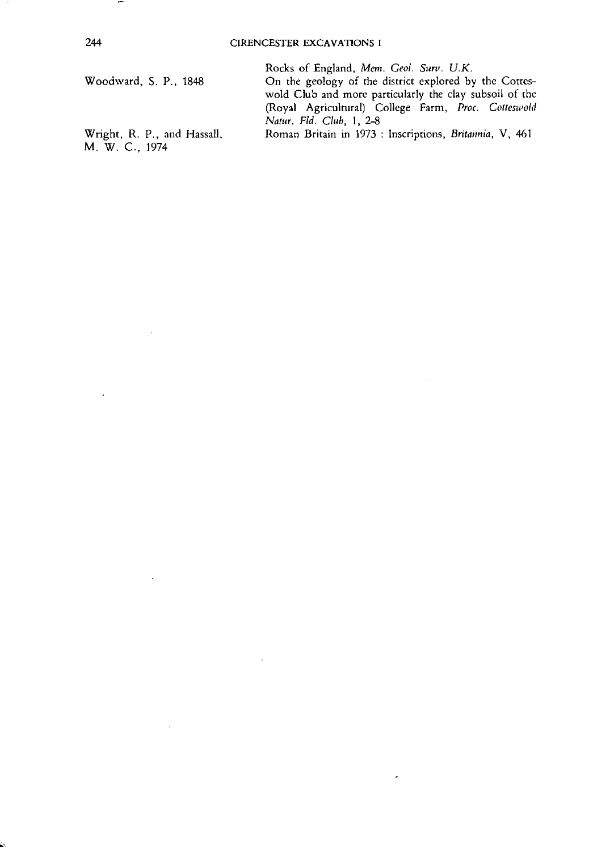Woodward, S. P., 1848

Wright, R. P., and Hassall, M. W. c.. 1974

Rocks of England, Mem. Geol. Surv. U.K.

On the geology of the district explored by the Corteswold Club and more particularly the clay subsoil of the (Royal Agricultural) College Farm, *Proc. Cotteswold Natur, Fld. cu»,* 1, 2-8

Roman Britain in 1973 : Inscriptions, *Britannia*, V, 461

J,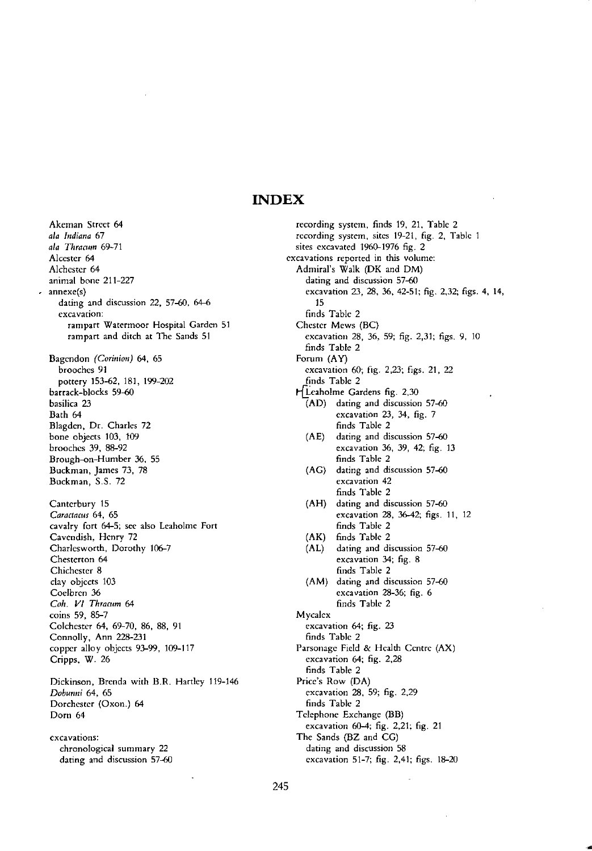## **INDEX**

**Akeman Street 64** *ala Indiana 67 ala Thracum 69-71* Alcester 64 Alchester 64 animal bone 211-227 **annexe(s) dating and discussion 22, 57-60, 64-6 excavation: rampart Watennoor Hospital Garden 51 rampart and ditch at The Sands 51** Bagendon *(Corinion)* 64, 65 brooches 91 pottery 153-62, 181, 199-202 barrack-blocks 59-60 **basilica 23** Bath 64 Blagden, Dr. Charles 72 bone objects 103, 109 brooches 39, 88-92 Brough-on-Humber 36, 55 **Buckman, James 73, 78** Buckman, 5.5. 72 Canterbury 15 *Caraclaws* **64, 65 cavalry fort 64-5; see also** Leaholme **Fort** Cavendish, Henry 72 Charlesworth, Dorothy 106-7 **Chesterton 64 Chichester 8** day objects 103 Coelbren 36 *Coh. VI Thracum 64* coins 59, 85-7 Colchester 64, 69-70, 86, 88, 91 Connolly, Ann 228-231 copper alloy objects 93-99, 109-117 Cripps, W. 26 **Dickinson, Brenda with B.R. Hartley 119-146** *Dobunni* 64, 65 Dorchester (Oxon.) 64 Dorn 64

**excavations: chronological summary 22 dating and discussion 57-60**

(AK) (AL) recording system, finds 19, 21, Table 2 **recording system, sites 19-21, fig. 2, Table 1** sites excavated 1960-1976 fig. 2 **excavations reported in this volume:** Admiral's Walk (OK and OM) **dating and discussion 57-60** excavation 23, 28, 36, 42-51; fig. 2,32; figs. 4, 14, 15 finds Table 2 Chester Mews (BC) excavation 28, 36, 59; fig. 2,31; figs. 9, 10 finds Table 2 Forum (AY) **excavation 60; fig.** 2,23~ **figs. 21, 22** finds Table 2 H Leaholme Gardens fig. 2,30  $\overline{(AD)}$  dating and discussion 57-60 **excavation 23, 34, fig. 7** finds Table 2 (AE) dating and discussion 57-60 **excavation 36, 39, 42; fig. 13** finds Table 2 (AG) dating and discussion 57-60 **excavation 42** finds Table 2 (AH) dating and discussion 57-60 **excavation 28, 36-42; figs. 11, 12** finds Table 2 finds Table 2 **dating and discussion 57-60 excavation 34; fig. 8** finds Table 2 (AM) dating and discussion 57-60 **excavation 28-36; fig. 6** finds Table 2 **Mycalcx excavation 64; fig. 23** finds Table 2 Parsonage Field & Health Centre (AX) **excavation 64; fig. 2.28** finds Table 2 Price's Row (DA) **excavation 28. 59; fig. 2,29** finds Table 2 Telephone Exchange (BB) excavation 60-4; fig. 2,21; fig. 21 The Sands (BZ and CG) **dating and discussion 58** excavation 51-7; fig. 2,41; figs. 18-20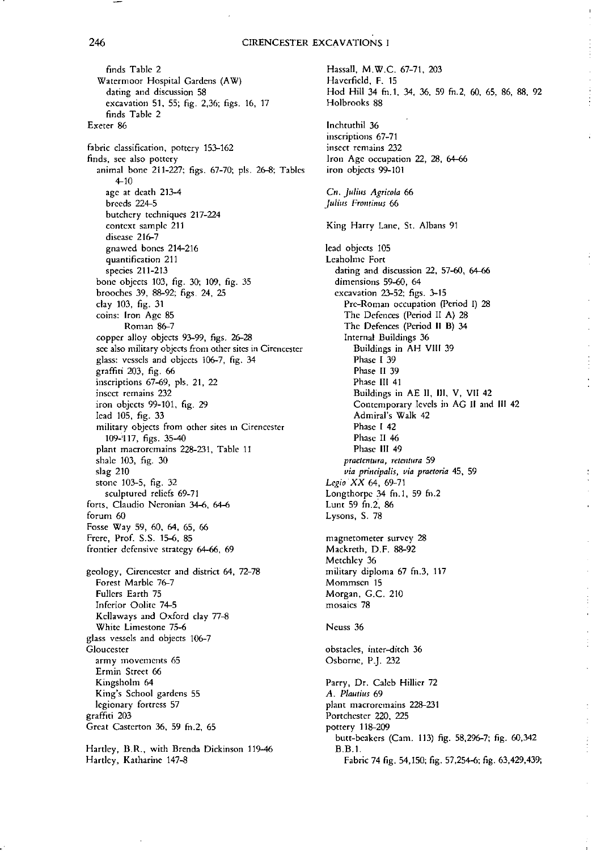#### 246 CIRENCESTER EXCAVATIONS I

finds Table 2 Watermoor Hospital Gardens (AW) **daring and discussion 58** excavation 51, 55; fig. 2,36; figs. 16, 17 finds Table 2 Exeter 86 **fabric classification, pottery 153-162 finds, see also pottery** animal bone 211-227; figs. 67-70; pis. 26-8; Tables 4-10 age at death 213-4 breeds 224-5 **butchery** *techniques* 217-224 **context sample 211 disease 216-7** gnawed bones 214-216 **quantification 211** species 211-213 bone objects 103, fig. 30; 109, fig. 35 brooches 39, 88-92; figs. 24, 25 clay 103, fig. 31 **coins: Iron Age 85** Roman 86-7 copper alloy objects 93-99, figs. 26-28 **sec also military objects from other sites in** Cirenccster glass: vessels and objects 106-7, fig. 34 graffiti 203, fig. 66 **inscriptions 67-fJ9,** pls **21, 22 insect remains 232** iron objects 99-101, fig. 29 lead 105, fig. 33 **military objects from other sites In** Circnccsrcr 109-'117, figs. 35-40 **plant** macrorcmains **228-231, Table 11** shale 103, fig. 30 slag 210 stone 103-5, fig. 32 sculptured reliefs 69-71 **forts. Claudio Ncronian 34-6, 64-6 forum 60** Fosse Way 59, 60, 64, 65, 66 Frere, Prof. S.S. 15-6, 85 **frontier defensive strategy 64-66, 69 geology, Circnccstcr and district 64, 72-78** Forest Marble 76-7 Fullers Earth 75 Inferior Oolite 74-5 Kcilaways and Oxford clay 77-8 **White Limestone 75-6 glass vessels and objects 106-7 Gloucester army movements 65 Ermin Street 66** Kingsholm 64 **King's School gardens 55 legionary fortress 57** graffiti 203 Great Casterton 36, 59 fn.2, 65 **Hartley, B.R., with Brenda Dickinson 119-46**

Hartley, Katharine 147-8

Hassall, M.W.C. 67-71, 203 Haverfield, F. 15 Hod Hill 34 fn.1, 34, 36, 59 fn.2, 60, 65, 86, 88, 92 Holbrooks 88 lnchtuthil 36 **inscriptions 67-71 insect remains 232 Iron Age occupation 22, 28, 64-66 iron objects 99-101** *C". Julius Agricola 66 Julius Frontinus 66* **King Harry Lane, Sr. Albans 91** lead objects 105 Leaholmc **Fort dating and discussion 22. 57-60, 64-66 dimensions 59-60, 64** excavation 23-52; figs. 3-15 Pre-Roman **occupation (Period I) 28** The Defences (Period II A) 28 The Defences (Period II B) 34 **Internal Buildings 36** Buildings in AH VIII 39 Phase I 39 Phase II 39 Phase III 41 Buildings in AE II, Ill, V, VII 42 **Contemporary levels in AG II and III 42** Admiral's Walk 42 Phase I 42 Phase II 46 Phase III 49 *praetcntura, retentura 59 via principalis, via praetoria* **45, 59** *LegioXX* 64, 69-71 Longrhorpc 34 fn.1, 59 fn.2 Lunt 59 fn.2, 86 Lysons, S. 78 **magnetometer survey 28** Mackreth, D.F. 88-92 Metchlcy 36 military diploma 67 fn.3, 117 **Mommscn 15** Morgan, G.c. 210 **mosaics 78** Neuss 36 **obstacles, inter-ditch 36** Osborne, P.). 232 Parry, Dr. Caleb Hillier 72 *A. Plautius 69* **plant** macrorcmains **228-231** Portchester 220, 225 pottery 118-209 butt-beakers (Cam. 113) fig. 58,296-7; fig. 60,342 B.B.!. Fabric 74 fig. 54,150; fig. 57,254-6; fig. 63,429,439;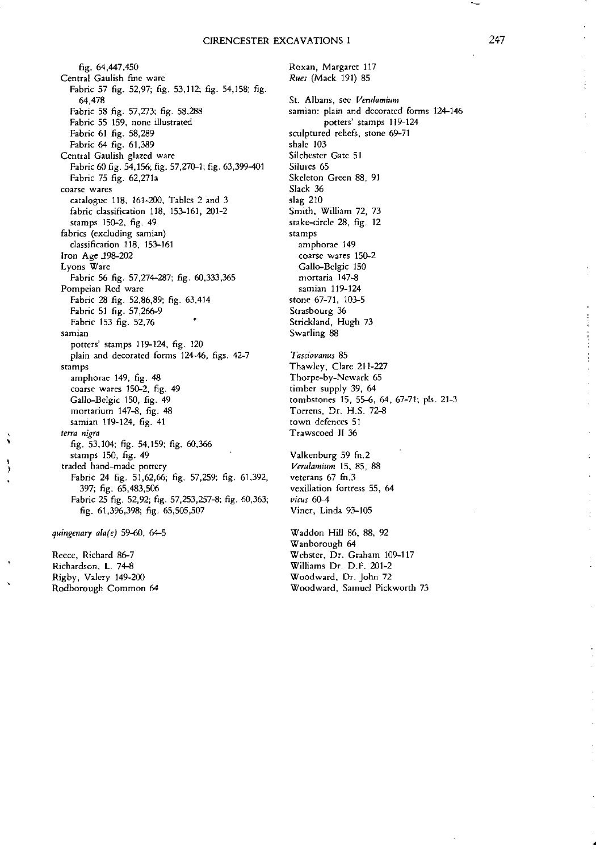fig. 64,447,450 **Central Gaulish fine ware** Fabric 57 fig. 52,97; fig. 53,112; fig. 54,158; fig. 64,478 Fabric 58 fig. 57,273; fig. 58,288 Fabric 55 159, none illustrated Fabric 61 fig. 58,289 Fabric 64 fig. 61,389 **Central Gaulish glazed ware** Fabric 60 fig. 54,156; fig. 57,270-1; fig. 63,399-101 Fabric 75 fig. 62,271a **coarse wares** catalogue 118, 161-200, Tables 2 and 3 fabric classification 118, 153-161, 201-2 stamps 150-2, fig. 49 **fabrics (excluding** samian} classification 118. 153-161 Iron Age J98-202 **Lyons Ware** Fabric 56 fig. 57,274-287; fig. 60,333,365 **Pompeian Red ware** Fabric 28 fig. 52,86,89; fig. 63,414 Fabric 51 fig. 57,266-9 Fabric 153 fig. 52,76 **samian** potters' stamps 119-124, fig. 120 plain and decorated forms 124-46, figs. 42-7 **stamps** amphorae 149, fig. 48 **coarse wares 150-2, fig. 49** Gallo-Belgic 150, fig. 49 rnortarium 147-8, fig. 48 samian 119-124, fig. 41 *terra nigra* fig. 53,104; fig. 54,159; fig. 60,366 stamps 150, fig. 49 **traded hand-made pottery** Fabric 24 fig. 51,62,66; fig. 57,259; fig. 61,392, 397; fig. 65,483,506 Fabric 25 fig. 52,92; fig. 57,253,257-8; fig. 60,363; fig. 61,3%,398; fig. 65,505,507 *quingenary ala(e)* 59-60, 64-5

Reece, Richard 86-7 Richardson, L. 74-8 Rigby, Valery 149-200 **Rodborough Common 64**

 $\ddot{\phantom{0}}$ f Roxan, **Margaret 117** *Rues* (Mack 191) 85

**St. Albans, sec** *Vemlamium* samian: **plain and decorated** forms **124-146 potters' stamps 119-124 sculptured reliefs, stone 69-71** shale 103 Silchester Gate 51 Silurcs 65 Skeleton Green 88, 91 Slack 36 slag 210 Smith, William 72, 73 **stake-circle 28, fig. 12 stamps amphorae 149 coarse wares 150-2** Gallo-Belgic 150 mortaria **147-8** samian 119-124 stone 67-71, 103-5 **Strasbourg 36** Strickland, Hugh 73 Swarling 88 *Tasciovanus 85* Thawley, Clare 211-227 Thorpe-by-Newark 65 timber supply 39, 64 tombstones IS, 55-6, 64, 67-71; pis. 21-3 Torrens, Dr. H.S. 72-8 **town defences 51** Trawscocd Il 36

Valkenburg 59 fn.2 *Verulamium* IS, 85, 88 **veterans 67 £0.3 vexillation fortress 55, 64** *virus 60-4* Viner, Linda 93-105

Waddon Hill 86, 88, 92 Wanborough 64 Webster, Dr. Graham 109-117 Williams Dr. D.F. 201-2 Woodward. Dr. John 72 **Woodward, Samuel Pickworth 73** ÷

 $\frac{1}{4}$  $\bar{1}$ 

•